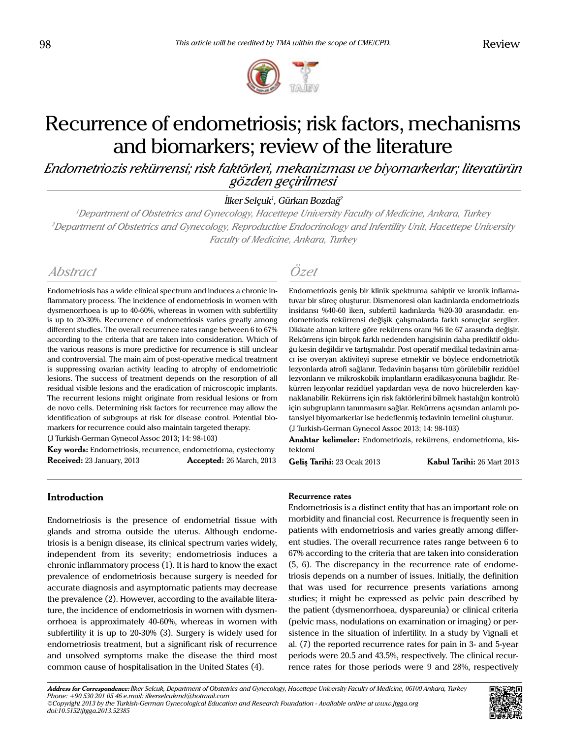

# Recurrence of endometriosis; risk factors, mechanisms and biomarkers; review of the literature

*Endometriozis rekürrensi; risk faktörleri, mekanizması ve biyomarkerlar; literatürün gözden geçirilmesi*

İlker Selçuk<sup>1</sup>, Gürkan Bozdağ<sup>2</sup>

*<sup>1</sup>Department of Obstetrics and Gynecology, Hacettepe University Faculty of Medicine, Ankara, Turkey <sup>2</sup>Department of Obstetrics and Gynecology, Reproductive Endocrinology and Infertility Unit, Hacettepe University Faculty of Medicine, Ankara, Turkey*

# *Abstract Özet*

Endometriosis has a wide clinical spectrum and induces a chronic inflammatory process. The incidence of endometriosis in women with dysmenorrhoea is up to 40-60%, whereas in women with subfertility is up to 20-30%. Recurrence of endometriosis varies greatly among different studies. The overall recurrence rates range between 6 to 67% according to the criteria that are taken into consideration. Which of the various reasons is more predictive for recurrence is still unclear and controversial. The main aim of post-operative medical treatment is suppressing ovarian activity leading to atrophy of endometriotic lesions. The success of treatment depends on the resorption of all residual visible lesions and the eradication of microscopic implants. The recurrent lesions might originate from residual lesions or from de novo cells. Determining risk factors for recurrence may allow the identification of subgroups at risk for disease control. Potential biomarkers for recurrence could also maintain targeted therapy.

(J Turkish-German Gynecol Assoc 2013; 14: 98-103)

**Key words:** Endometriosis, recurrence, endometrioma, cystectomy **Received:** 23 January, 2013 **Accepted:** 26 March, 2013

Endometriozis geniş bir klinik spektruma sahiptir ve kronik inflamatuvar bir süreç oluşturur. Dismenoresi olan kadınlarda endometriozis insidansı %40-60 iken, subfertil kadınlarda %20-30 arasındadır. endometriozis rekürrensi değişik çalışmalarda farklı sonuçlar sergiler. Dikkate alınan kritere göre rekürrens oranı %6 ile 67 arasında değişir. Rekürrens için birçok farklı nedenden hangisinin daha prediktif olduğu kesin değildir ve tartışmalıdır. Post operatif medikal tedavinin amacı ise overyan aktiviteyi suprese etmektir ve böylece endometriotik lezyonlarda atrofi sağlanır. Tedavinin başarısı tüm görülebilir rezidüel lezyonların ve mikroskobik implantların eradikasyonuna bağlıdır. Rekürren lezyonlar rezidüel yapılardan veya de novo hücrelerden kaynaklanabilir. Rekürrens için risk faktörlerini bilmek hastalığın kontrolü için subgrupların tanınmasını sağlar. Rekürrens açısından anlamlı potansiyel biyomarkerlar ise hedeflenmiş tedavinin temelini oluşturur. (J Turkish-German Gynecol Assoc 2013; 14: 98-103)

**Anahtar kelimeler:** Endometriozis, rekürrens, endometrioma, kis-

tektomi

**Geliş Tarihi:** 23 Ocak 2013 **Kabul Tarihi:** 26 Mart 2013

# **Introduction**

Endometriosis is the presence of endometrial tissue with glands and stroma outside the uterus. Although endometriosis is a benign disease, its clinical spectrum varies widely, independent from its severity; endometriosis induces a chronic inflammatory process (1). It is hard to know the exact prevalence of endometriosis because surgery is needed for accurate diagnosis and asymptomatic patients may decrease the prevalence (2). However, according to the available literature, the incidence of endometriosis in women with dysmenorrhoea is approximately 40-60%, whereas in women with subfertility it is up to 20-30% (3). Surgery is widely used for endometriosis treatment, but a significant risk of recurrence and unsolved symptoms make the disease the third most common cause of hospitalisation in the United States (4).

# **Recurrence rates**

Endometriosis is a distinct entity that has an important role on morbidity and financial cost. Recurrence is frequently seen in patients with endometriosis and varies greatly among different studies. The overall recurrence rates range between 6 to 67% according to the criteria that are taken into consideration (5, 6). The discrepancy in the recurrence rate of endometriosis depends on a number of issues. Initially, the definition that was used for recurrence presents variations among studies; it might be expressed as pelvic pain described by the patient (dysmenorrhoea, dyspareunia) or clinical criteria (pelvic mass, nodulations on examination or imaging) or persistence in the situation of infertility. In a study by Vignali et al. (7) the reported recurrence rates for pain in 3- and 5-year periods were 20.5 and 43.5%, respectively. The clinical recurrence rates for those periods were 9 and 28%, respectively

**Address for Correspondence:** *İlker Selcuk, Department of Obstetrics and Gynecology, Hacettepe University Faculty of Medicine, 06100 Ankara, Turkey Phone: +90 530 201 05 46 e.mail: ilkerselcukmd@hotmail.com ©Copyright 2013 by the Turkish-German Gynecological Education and Research Foundation - Available online at www.jtgga.org doi:10.5152/jtgga.2013.52385*

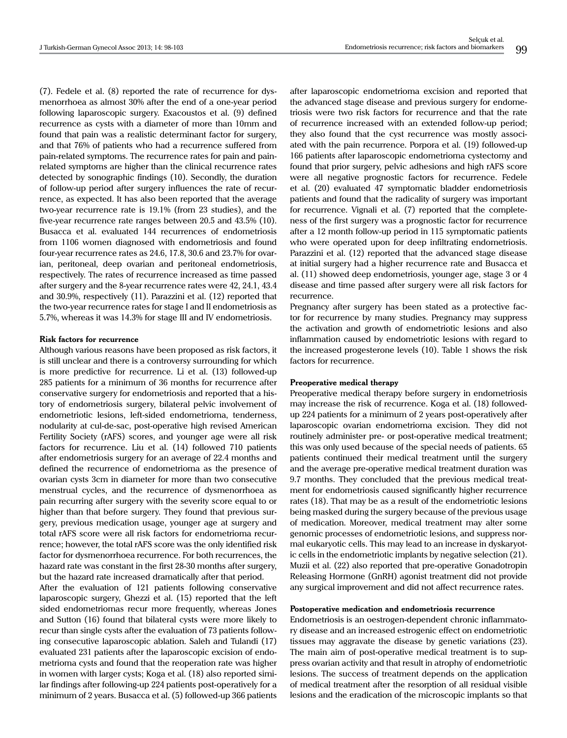(7). Fedele et al. (8) reported the rate of recurrence for dysmenorrhoea as almost 30% after the end of a one-year period following laparoscopic surgery. Exacoustos et al. (9) defined recurrence as cysts with a diameter of more than 10mm and found that pain was a realistic determinant factor for surgery, and that 76% of patients who had a recurrence suffered from pain-related symptoms. The recurrence rates for pain and painrelated symptoms are higher than the clinical recurrence rates detected by sonographic findings (10). Secondly, the duration of follow-up period after surgery influences the rate of recurrence, as expected. It has also been reported that the average two-year recurrence rate is 19.1% (from 23 studies), and the five-year recurrence rate ranges between 20.5 and 43.5% (10). Busacca et al. evaluated 144 recurrences of endometriosis from 1106 women diagnosed with endometriosis and found four-year recurrence rates as 24.6, 17.8, 30.6 and 23.7% for ovarian, peritoneal, deep ovarian and peritoneal endometriosis, respectively. The rates of recurrence increased as time passed after surgery and the 8-year recurrence rates were 42, 24.1, 43.4 and 30.9%, respectively (11). Parazzini et al. (12) reported that the two-year recurrence rates for stage I and II endometriosis as 5.7%, whereas it was 14.3% for stage III and IV endometriosis.

### **Risk factors for recurrence**

Although various reasons have been proposed as risk factors, it is still unclear and there is a controversy surrounding for which is more predictive for recurrence. Li et al. (13) followed-up 285 patients for a minimum of 36 months for recurrence after conservative surgery for endometriosis and reported that a history of endometriosis surgery, bilateral pelvic involvement of endometriotic lesions, left-sided endometrioma, tenderness, nodularity at cul-de-sac, post-operative high revised American Fertility Society (rAFS) scores, and younger age were all risk factors for recurrence. Liu et al. (14) followed 710 patients after endometriosis surgery for an average of 22.4 months and defined the recurrence of endometrioma as the presence of ovarian cysts 3cm in diameter for more than two consecutive menstrual cycles, and the recurrence of dysmenorrhoea as pain recurring after surgery with the severity score equal to or higher than that before surgery. They found that previous surgery, previous medication usage, younger age at surgery and total rAFS score were all risk factors for endometrioma recurrence; however, the total rAFS score was the only identified risk factor for dysmenorrhoea recurrence. For both recurrences, the hazard rate was constant in the first 28-30 months after surgery, but the hazard rate increased dramatically after that period.

After the evaluation of 121 patients following conservative laparoscopic surgery, Ghezzi et al. (15) reported that the left sided endometriomas recur more frequently, whereas Jones and Sutton (16) found that bilateral cysts were more likely to recur than single cysts after the evaluation of 73 patients following consecutive laparoscopic ablation. Saleh and Tulandi (17) evaluated 231 patients after the laparoscopic excision of endometrioma cysts and found that the reoperation rate was higher in women with larger cysts; Koga et al. (18) also reported similar findings after following-up 224 patients post-operatively for a minimum of 2 years. Busacca et al. (5) followed-up 366 patients

after laparoscopic endometrioma excision and reported that the advanced stage disease and previous surgery for endometriosis were two risk factors for recurrence and that the rate of recurrence increased with an extended follow-up period; they also found that the cyst recurrence was mostly associated with the pain recurrence. Porpora et al. (19) followed-up 166 patients after laparoscopic endometrioma cystectomy and found that prior surgery, pelvic adhesions and high rAFS score were all negative prognostic factors for recurrence. Fedele et al. (20) evaluated 47 symptomatic bladder endometriosis patients and found that the radicality of surgery was important for recurrence. Vignali et al. (7) reported that the completeness of the first surgery was a prognostic factor for recurrence after a 12 month follow-up period in 115 symptomatic patients who were operated upon for deep infiltrating endometriosis. Parazzini et al. (12) reported that the advanced stage disease at initial surgery had a higher recurrence rate and Busacca et al. (11) showed deep endometriosis, younger age, stage 3 or 4 disease and time passed after surgery were all risk factors for recurrence.

Pregnancy after surgery has been stated as a protective factor for recurrence by many studies. Pregnancy may suppress the activation and growth of endometriotic lesions and also inflammation caused by endometriotic lesions with regard to the increased progesterone levels (10). Table 1 shows the risk factors for recurrence.

#### **Preoperative medical therapy**

Preoperative medical therapy before surgery in endometriosis may increase the risk of recurrence. Koga et al. (18) followedup 224 patients for a minimum of 2 years post-operatively after laparoscopic ovarian endometrioma excision. They did not routinely administer pre- or post-operative medical treatment; this was only used because of the special needs of patients. 65 patients continued their medical treatment until the surgery and the average pre-operative medical treatment duration was 9.7 months. They concluded that the previous medical treatment for endometriosis caused significantly higher recurrence rates (18). That may be as a result of the endometriotic lesions being masked during the surgery because of the previous usage of medication. Moreover, medical treatment may alter some genomic processes of endometriotic lesions, and suppress normal eukaryotic cells. This may lead to an increase in dyskaryotic cells in the endometriotic implants by negative selection (21). Muzii et al. (22) also reported that pre-operative Gonadotropin Releasing Hormone (GnRH) agonist treatment did not provide any surgical improvement and did not affect recurrence rates.

#### **Postoperative medication and endometriosis recurrence**

Endometriosis is an oestrogen-dependent chronic inflammatory disease and an increased estrogenic effect on endometriotic tissues may aggravate the disease by genetic variations (23). The main aim of post-operative medical treatment is to suppress ovarian activity and that result in atrophy of endometriotic lesions. The success of treatment depends on the application of medical treatment after the resorption of all residual visible lesions and the eradication of the microscopic implants so that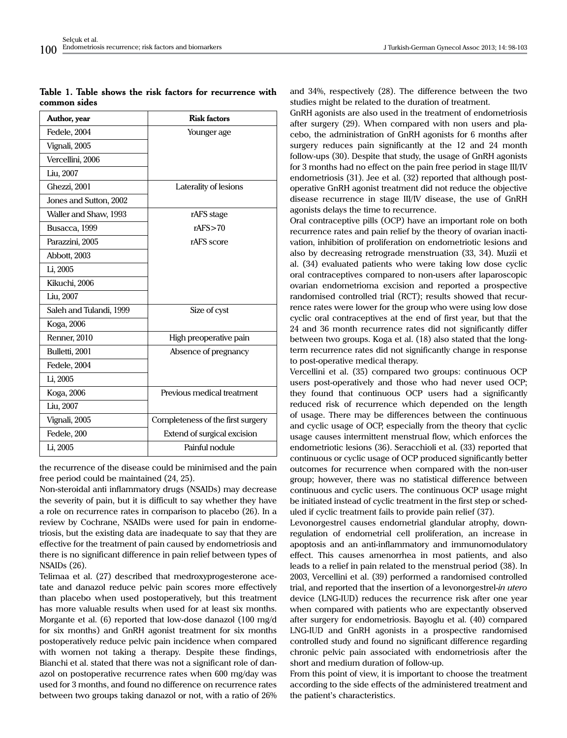|  |              |  |  | Table 1. Table shows the risk factors for recurrence with |  |
|--|--------------|--|--|-----------------------------------------------------------|--|
|  | common sides |  |  |                                                           |  |

| <b>Risk factors</b>               |  |  |  |
|-----------------------------------|--|--|--|
| Younger age                       |  |  |  |
|                                   |  |  |  |
|                                   |  |  |  |
|                                   |  |  |  |
| Laterality of lesions             |  |  |  |
|                                   |  |  |  |
| rAFS stage                        |  |  |  |
| rAFS > 70                         |  |  |  |
| rAFS score                        |  |  |  |
|                                   |  |  |  |
|                                   |  |  |  |
|                                   |  |  |  |
|                                   |  |  |  |
| Size of cyst                      |  |  |  |
|                                   |  |  |  |
| High preoperative pain            |  |  |  |
| Absence of pregnancy              |  |  |  |
|                                   |  |  |  |
|                                   |  |  |  |
| Previous medical treatment        |  |  |  |
|                                   |  |  |  |
| Completeness of the first surgery |  |  |  |
| Extend of surgical excision       |  |  |  |
| Painful nodule                    |  |  |  |
|                                   |  |  |  |

the recurrence of the disease could be minimised and the pain free period could be maintained (24, 25).

Non-steroidal anti inflammatory drugs (NSAIDs) may decrease the severity of pain, but it is difficult to say whether they have a role on recurrence rates in comparison to placebo (26). In a review by Cochrane, NSAIDs were used for pain in endometriosis, but the existing data are inadequate to say that they are effective for the treatment of pain caused by endometriosis and there is no significant difference in pain relief between types of NSAIDs (26).

Telimaa et al. (27) described that medroxyprogesterone acetate and danazol reduce pelvic pain scores more effectively than placebo when used postoperatively, but this treatment has more valuable results when used for at least six months. Morgante et al. (6) reported that low-dose danazol (100 mg/d for six months) and GnRH agonist treatment for six months postoperatively reduce pelvic pain incidence when compared with women not taking a therapy. Despite these findings, Bianchi et al. stated that there was not a significant role of danazol on postoperative recurrence rates when 600 mg/day was used for 3 months, and found no difference on recurrence rates between two groups taking danazol or not, with a ratio of 26% and 34%, respectively (28). The difference between the two studies might be related to the duration of treatment.

GnRH agonists are also used in the treatment of endometriosis after surgery (29). When compared with non users and placebo, the administration of GnRH agonists for 6 months after surgery reduces pain significantly at the 12 and 24 month follow-ups (30). Despite that study, the usage of GnRH agonists for 3 months had no effect on the pain free period in stage III/IV endometriosis (31). Jee et al. (32) reported that although postoperative GnRH agonist treatment did not reduce the objective disease recurrence in stage III/IV disease, the use of GnRH agonists delays the time to recurrence.

Oral contraceptive pills (OCP) have an important role on both recurrence rates and pain relief by the theory of ovarian inactivation, inhibition of proliferation on endometriotic lesions and also by decreasing retrograde menstruation (33, 34). Muzii et al. (34) evaluated patients who were taking low dose cyclic oral contraceptives compared to non-users after laparoscopic ovarian endometrioma excision and reported a prospective randomised controlled trial (RCT); results showed that recurrence rates were lower for the group who were using low dose cyclic oral contraceptives at the end of first year, but that the 24 and 36 month recurrence rates did not significantly differ between two groups. Koga et al. (18) also stated that the longterm recurrence rates did not significantly change in response to post-operative medical therapy.

Vercellini et al. (35) compared two groups: continuous OCP users post-operatively and those who had never used OCP; they found that continuous OCP users had a significantly reduced risk of recurrence which depended on the length of usage. There may be differences between the continuous and cyclic usage of OCP, especially from the theory that cyclic usage causes intermittent menstrual flow, which enforces the endometriotic lesions (36). Seracchioli et al. (33) reported that continuous or cyclic usage of OCP produced significantly better outcomes for recurrence when compared with the non-user group; however, there was no statistical difference between continuous and cyclic users. The continuous OCP usage might be initiated instead of cyclic treatment in the first step or scheduled if cyclic treatment fails to provide pain relief (37).

Levonorgestrel causes endometrial glandular atrophy, downregulation of endometrial cell proliferation, an increase in apoptosis and an anti-inflammatory and immunomodulatory effect. This causes amenorrhea in most patients, and also leads to a relief in pain related to the menstrual period (38). In 2003, Vercellini et al. (39) performed a randomised controlled trial, and reported that the insertion of a levonorgestrel-*in utero* device (LNG-IUD) reduces the recurrence risk after one year when compared with patients who are expectantly observed after surgery for endometriosis. Bayoglu et al. (40) compared LNG-IUD and GnRH agonists in a prospective randomised controlled study and found no significant difference regarding chronic pelvic pain associated with endometriosis after the short and medium duration of follow-up.

From this point of view, it is important to choose the treatment according to the side effects of the administered treatment and the patient's characteristics.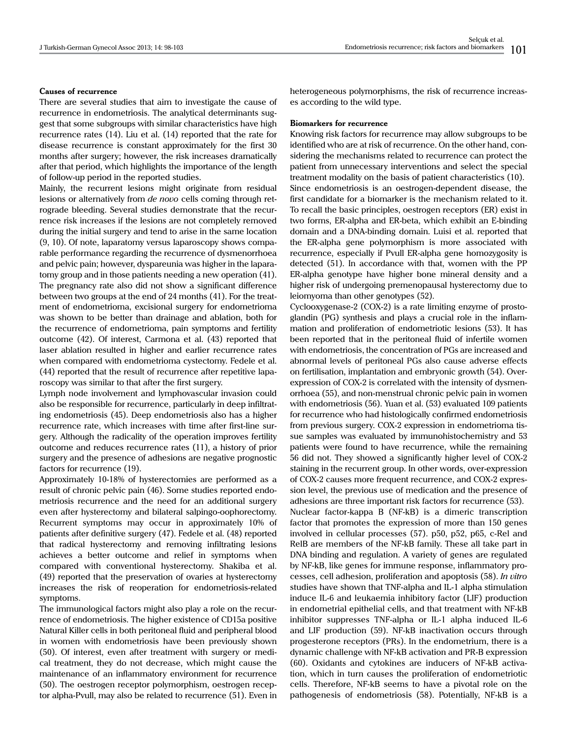# **Causes of recurrence**

There are several studies that aim to investigate the cause of recurrence in endometriosis. The analytical determinants suggest that some subgroups with similar characteristics have high recurrence rates (14). Liu et al. (14) reported that the rate for disease recurrence is constant approximately for the first 30 months after surgery; however, the risk increases dramatically after that period, which highlights the importance of the length of follow-up period in the reported studies.

Mainly, the recurrent lesions might originate from residual lesions or alternatively from *de novo* cells coming through retrograde bleeding. Several studies demonstrate that the recurrence risk increases if the lesions are not completely removed during the initial surgery and tend to arise in the same location (9, 10). Of note, laparatomy versus laparoscopy shows comparable performance regarding the recurrence of dysmenorrhoea and pelvic pain; however, dyspareunia was higher in the laparatomy group and in those patients needing a new operation (41). The pregnancy rate also did not show a significant difference between two groups at the end of 24 months (41). For the treatment of endometrioma, excisional surgery for endometrioma was shown to be better than drainage and ablation, both for the recurrence of endometrioma, pain symptoms and fertility outcome (42). Of interest, Carmona et al. (43) reported that laser ablation resulted in higher and earlier recurrence rates when compared with endometrioma cystectomy. Fedele et al. (44) reported that the result of recurrence after repetitive laparoscopy was similar to that after the first surgery.

Lymph node involvement and lymphovascular invasion could also be responsible for recurrence, particularly in deep infiltrating endometriosis (45). Deep endometriosis also has a higher recurrence rate, which increases with time after first-line surgery. Although the radicality of the operation improves fertility outcome and reduces recurrence rates (11), a history of prior surgery and the presence of adhesions are negative prognostic factors for recurrence (19).

Approximately 10-18% of hysterectomies are performed as a result of chronic pelvic pain (46). Some studies reported endometriosis recurrence and the need for an additional surgery even after hysterectomy and bilateral salpingo-oophorectomy. Recurrent symptoms may occur in approximately 10% of patients after definitive surgery (47). Fedele et al. (48) reported that radical hysterectomy and removing infiltrating lesions achieves a better outcome and relief in symptoms when compared with conventional hysterectomy. Shakiba et al. (49) reported that the preservation of ovaries at hysterectomy increases the risk of reoperation for endometriosis-related symptoms.

The immunological factors might also play a role on the recurrence of endometriosis. The higher existence of CD15a positive Natural Killer cells in both peritoneal fluid and peripheral blood in women with endometriosis have been previously shown (50). Of interest, even after treatment with surgery or medical treatment, they do not decrease, which might cause the maintenance of an inflammatory environment for recurrence (50). The oestrogen receptor polymorphism, oestrogen receptor alpha-Pvull, may also be related to recurrence (51). Even in heterogeneous polymorphisms, the risk of recurrence increases according to the wild type.

#### **Biomarkers for recurrence**

Knowing risk factors for recurrence may allow subgroups to be identified who are at risk of recurrence. On the other hand, considering the mechanisms related to recurrence can protect the patient from unnecessary interventions and select the special treatment modality on the basis of patient characteristics (10). Since endometriosis is an oestrogen-dependent disease, the first candidate for a biomarker is the mechanism related to it. To recall the basic principles, oestrogen receptors (ER) exist in two forms, ER-alpha and ER-beta, which exhibit an E-binding domain and a DNA-binding domain. Luisi et al. reported that the ER-alpha gene polymorphism is more associated with recurrence, especially if Pvull ER-alpha gene homozygosity is detected (51). In accordance with that, women with the PP ER-alpha genotype have higher bone mineral density and a higher risk of undergoing premenopausal hysterectomy due to leiomyoma than other genotypes (52).

Cyclooxygenase-2 (COX-2) is a rate limiting enzyme of prostoglandin (PG) synthesis and plays a crucial role in the inflammation and proliferation of endometriotic lesions (53). It has been reported that in the peritoneal fluid of infertile women with endometriosis, the concentration of PGs are increased and abnormal levels of peritoneal PGs also cause adverse effects on fertilisation, implantation and embryonic growth (54). Overexpression of COX-2 is correlated with the intensity of dysmenorrhoea (55), and non-menstrual chronic pelvic pain in women with endometriosis (56). Yuan et al. (53) evaluated 109 patients for recurrence who had histologically confirmed endometriosis from previous surgery. COX-2 expression in endometrioma tissue samples was evaluated by immunohistochemistry and 53 patients were found to have recurrence, while the remaining 56 did not. They showed a significantly higher level of COX-2 staining in the recurrent group. In other words, over-expression of COX-2 causes more frequent recurrence, and COX-2 expression level, the previous use of medication and the presence of adhesions are three important risk factors for recurrence (53).

Nuclear factor-kappa B (NF-kB) is a dimeric transcription factor that promotes the expression of more than 150 genes involved in cellular processes (57). p50, p52, p65, c-Rel and RelB are members of the NF-kB family. These all take part in DNA binding and regulation. A variety of genes are regulated by NF-kB, like genes for immune response, inflammatory processes, cell adhesion, proliferation and apoptosis (58). *In vitro* studies have shown that TNF-alpha and IL-1 alpha stimulation induce IL-6 and leukaemia inhibitory factor (LIF) production in endometrial epithelial cells, and that treatment with NF-kB inhibitor suppresses TNF-alpha or IL-1 alpha induced IL-6 and LIF production (59). NF-kB inactivation occurs through progesterone receptors (PRs). In the endometrium, there is a dynamic challenge with NF-kB activation and PR-B expression (60). Oxidants and cytokines are inducers of NF-kB activation, which in turn causes the proliferation of endometriotic cells. Therefore, NF-kB seems to have a pivotal role on the pathogenesis of endometriosis (58). Potentially, NF-kB is a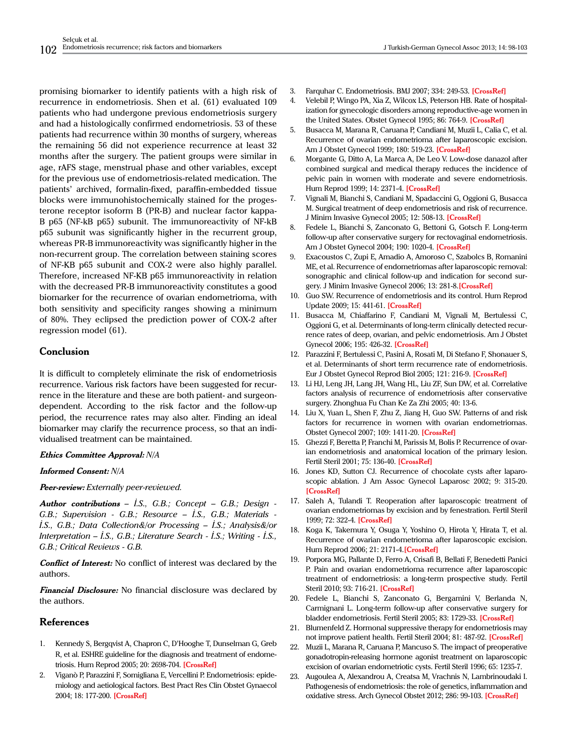promising biomarker to identify patients with a high risk of recurrence in endometriosis. Shen et al. (61) evaluated 109 patients who had undergone previous endometriosis surgery and had a histologically confirmed endometriosis. 53 of these patients had recurrence within 30 months of surgery, whereas the remaining 56 did not experience recurrence at least 32 months after the surgery. The patient groups were similar in age, rAFS stage, menstrual phase and other variables, except for the previous use of endometriosis-related medication. The patients' archived, formalin-fixed, paraffin-embedded tissue blocks were immunohistochemically stained for the progesterone receptor isoform B (PR-B) and nuclear factor kappa-B p65 (NF-kB p65) subunit. The immunoreactivity of NF-kB p65 subunit was significantly higher in the recurrent group, whereas PR-B immunoreactivity was significantly higher in the non-recurrent group. The correlation between staining scores of NF-KB p65 subunit and COX-2 were also highly parallel. Therefore, increased NF-KB p65 immunoreactivity in relation with the decreased PR-B immunoreactivity constitutes a good biomarker for the recurrence of ovarian endometrioma, with both sensitivity and specificity ranges showing a minimum of 80%. They eclipsed the prediction power of COX-2 after regression model (61).

# **Conclusion**

It is difficult to completely eliminate the risk of endometriosis recurrence. Various risk factors have been suggested for recurrence in the literature and these are both patient- and surgeondependent. According to the risk factor and the follow-up period, the recurrence rates may also alter. Finding an ideal biomarker may clarify the recurrence process, so that an individualised treatment can be maintained.

# **Ethics Committee Approval:** *N/A*

**Informed Consent:** *N/A*

**Peer-review:** *Externally peer-reviewed.*

**Author contributions** *– İ.S., G.B.; Concept – G.B.; Design - G.B.; Supervision - G.B.; Resource – İ.S., G.B.; Materials - İ.S., G.B.; Data Collection&/or Processing – İ.S.; Analysis&/or Interpretation – İ.S., G.B.; Literature Search - İ.S.; Writing - İ.S., G.B.; Critical Reviews - G.B.*

**Conflict of Interest:** No conflict of interest was declared by the authors.

**Financial Disclosure:** No financial disclosure was declared by the authors.

# **References**

- 1. Kennedy S, Bergqvist A, Chapron C, D'Hooghe T, Dunselman G, Greb R, et al. ESHRE guideline for the diagnosis and treatment of endometriosis. Hum Reprod 2005; 20: 2698-704. **[[CrossRef](http://dx.doi.org/10.1093/humrep/dei135)]**
- 2. Viganò P, Parazzini F, Somigliana E, Vercellini P. Endometriosis: epidemiology and aetiological factors. Best Pract Res Clin Obstet Gynaecol 2004; 18: 177-200. **[[CrossRef](http://dx.doi.org/10.1016/j.bpobgyn.2004.01.007)]**
- 3. Farquhar C. Endometriosis. BMJ 2007; 334: 249-53. **[\[CrossRef](http://dx.doi.org/10.1136/bmj.39073.736829.BE)]**
- 4. Velebil P, Wingo PA, Xia Z, Wilcox LS, Peterson HB. Rate of hospitalization for gynecologic disorders among reproductive-age women in the United States. Obstet Gynecol 1995; 86: 764-9. **[\[CrossRef](http://dx.doi.org/10.1016/0029-7844(95)00252-M)]**
- 5. Busacca M, Marana R, Caruana P, Candiani M, Muzii L, Calia C, et al. Recurrence of ovarian endometrioma after laparoscopic excision. Am J Obstet Gynecol 1999; 180: 519-23. **[\[CrossRef\]](http://dx.doi.org/10.1016/S0002-9378(99)70247-4)**
- 6. Morgante G, Ditto A, La Marca A, De Leo V. Low-dose danazol after combined surgical and medical therapy reduces the incidence of pelvic pain in women with moderate and severe endometriosis. Hum Reprod 1999; 14: 2371-4. **[\[CrossRef](http://dx.doi.org/10.1093/humrep/14.9.2371)]**
- 7. Vignali M, Bianchi S, Candiani M, Spadaccini G, Oggioni G, Busacca M. Surgical treatment of deep endometriosis and risk of recurrence. J Minim Invasive Gynecol 2005; 12: 508-13. **[\[CrossRef](http://dx.doi.org/10.1016/j.jmig.2005.06.016)]**
- 8. Fedele L, Bianchi S, Zanconato G, Bettoni G, Gotsch F. Long-term follow-up after conservative surgery for rectovaginal endometriosis. Am J Obstet Gynecol 2004; 190: 1020-4. **[\[CrossRef\]](http://dx.doi.org/10.1016/j.ajog.2003.10.698)**
- 9. Exacoustos C, Zupi E, Amadio A, Amoroso C, Szabolcs B, Romanini ME, et al. Recurrence of endometriomas after laparoscopic removal: sonographic and clinical follow-up and indication for second surgery. J Minim Invasive Gynecol 2006; 13: 281-8.**[\[CrossRef](http://dx.doi.org/10.1016/j.jmig.2006.03.002)]**
- 10. Guo SW. Recurrence of endometriosis and its control. Hum Reprod Update 2009; 15: 441-61. **[\[CrossRef\]](http://dx.doi.org/10.1093/humupd/dmp007)**
- 11. Busacca M, Chiaffarino F, Candiani M, Vignali M, Bertulessi C, Oggioni G, et al. Determinants of long-term clinically detected recurrence rates of deep, ovarian, and pelvic endometriosis. Am J Obstet Gynecol 2006; 195: 426-32. **[[CrossRef\]](http://dx.doi.org/10.1016/j.ajog.2006.01.078)**
- 12. Parazzini F, Bertulessi C, Pasini A, Rosati M, Di Stefano F, Shonauer S, et al. Determinants of short term recurrence rate of endometriosis. Eur J Obstet Gynecol Reprod Biol 2005; 121: 216-9. **[\[CrossRef](http://dx.doi.org/10.1016/j.ejogrb.2004.11.033)]**
- 13. Li HJ, Leng JH, Lang JH, Wang HL, Liu ZF, Sun DW, et al. Correlative factors analysis of recurrence of endometriosis after conservative surgery. Zhonghua Fu Chan Ke Za Zhi 2005; 40: 13-6.
- 14. Liu X, Yuan L, Shen F, Zhu Z, Jiang H, Guo SW. Patterns of and risk factors for recurrence in women with ovarian endometriomas. Obstet Gynecol 2007; 109: 1411-20. **[\[CrossRef](http://dx.doi.org/10.1097/01.AOG.0000265215.87717.8b)]**
- 15. Ghezzi F, Beretta P, Franchi M, Parissis M, Bolis P. Recurrence of ovarian endometriosis and anatomical location of the primary lesion. Fertil Steril 2001; 75: 136-40. **[[CrossRef\]](http://dx.doi.org/10.1016/S0015-0282(00)01664-2)**
- 16. Jones KD, Sutton CJ. Recurrence of chocolate cysts after laparoscopic ablation. J Am Assoc Gynecol Laparosc 2002; 9: 315-20. **[[CrossRef\]](http://dx.doi.org/10.1016/S1074-3804(05)60410-0)**
- 17. Saleh A, Tulandi T. Reoperation after laparoscopic treatment of ovarian endometriomas by excision and by fenestration. Fertil Steril 1999; 72: 322-4. **[[CrossRef\]](http://dx.doi.org/10.1016/S0015-0282(99)00243-5)**
- 18. Koga K, Takemura Y, Osuga Y, Yoshino O, Hirota Y, Hirata T, et al. Recurrence of ovarian endometrioma after laparoscopic excision. Hum Reprod 2006; 21: 2171-4.**[\[CrossRef](http://dx.doi.org/10.1093/humrep/del125)]**
- 19. Porpora MG, Pallante D, Ferro A, Crisafi B, Bellati F, Benedetti Panici P. Pain and ovarian endometrioma recurrence after laparoscopic treatment of endometriosis: a long-term prospective study. Fertil Steril 2010; 93: 716-21. **[\[CrossRef](http://dx.doi.org/10.1016/j.fertnstert.2008.10.018)]**
- 20. Fedele L, Bianchi S, Zanconato G, Bergamini V, Berlanda N, Carmignani L. Long-term follow-up after conservative surgery for bladder endometriosis. Fertil Steril 2005; 83: 1729-33. **[[CrossRef\]](http://dx.doi.org/10.1016/j.fertnstert.2004.12.047)**
- 21. Blumenfeld Z. Hormonal suppressive therapy for endometriosis may not improve patient health. Fertil Steril 2004; 81: 487-92. **[\[CrossRef\]](http://dx.doi.org/10.1016/j.fertnstert.2003.07.038)**
- 22. Muzii L, Marana R, Caruana P, Mancuso S. The impact of preoperative gonadotropin-releasing hormone agonist treatment on laparoscopic excision of ovarian endometriotic cysts. Fertil Steril 1996; 65: 1235-7.
- 23. Augoulea A, Alexandrou A, Creatsa M, Vrachnis N, Lambrinoudaki I. Pathogenesis of endometriosis: the role of genetics, inflammation and oxidative stress. Arch Gynecol Obstet 2012; 286: 99-103. **[\[CrossRef\]](http://dx.doi.org/10.1007/s00404-012-2357-8)**